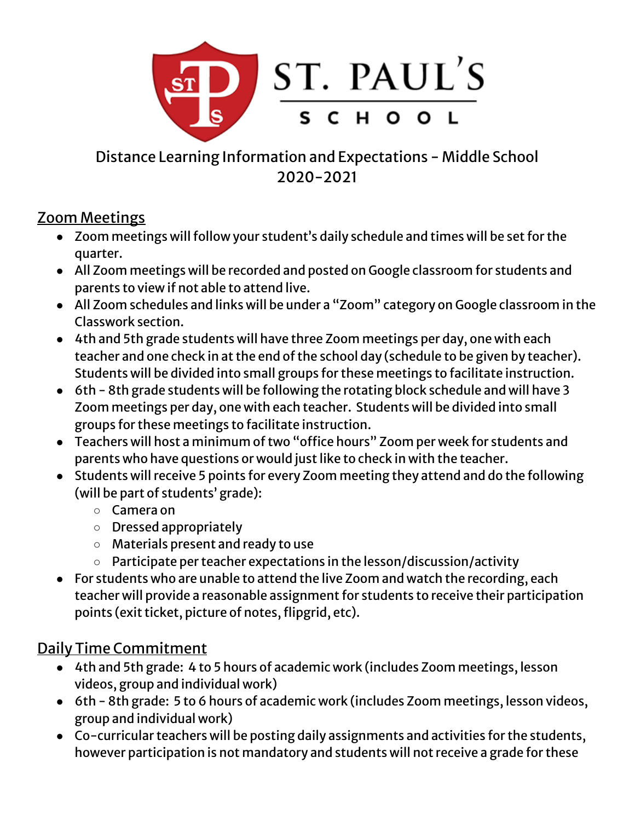

Distance Learning Information and Expectations - Middle School 2020-2021

### Zoom Meetings

- Zoom meetings will follow your student's daily schedule and times will be set for the quarter.
- All Zoom meetings will be recorded and posted on Google classroom for students and parents to view if not able to attend live.
- All Zoom schedules and links will be under a "Zoom" category on Google classroom in the Classwork section.
- 4th and 5th grade students will have three Zoom meetings per day, one with each teacher and one check in at the end of the school day (schedule to be given by teacher). Students will be divided into small groups for these meetings to facilitate instruction.
- 6th 8th grade students will be following the rotating block schedule and will have 3 Zoom meetings per day, one with each teacher. Students will be divided into small groups for these meetings to facilitate instruction.
- Teachers will host a minimum of two "office hours" Zoom per week for students and parents who have questions or would just like to check in with the teacher.
- Students will receive 5 points for every Zoom meeting they attend and do the following (will be part of students' grade):
	- Camera on
	- Dressed appropriately
	- Materials present and ready to use
	- Participate per teacher expectations in the lesson/discussion/activity
- For students who are unable to attend the live Zoom and watch the recording, each teacher will provide a reasonable assignment for students to receive their participation points (exit ticket, picture of notes, flipgrid, etc).

# Daily Time Commitment

- 4th and 5th grade: 4 to 5 hours of academic work (includes Zoom meetings, lesson videos, group and individual work)
- 6th 8th grade: 5 to 6 hours of academic work (includes Zoom meetings, lesson videos, group and individual work)
- Co-curricular teachers will be posting daily assignments and activities for the students, however participation is not mandatory and students will not receive a grade for these